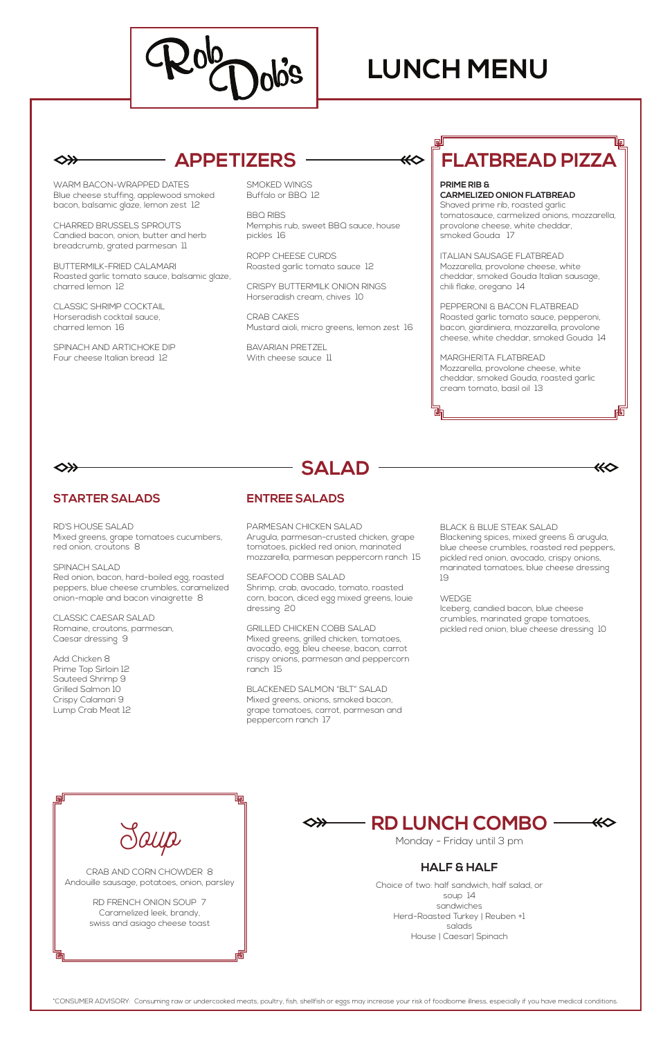

## **LUNCH MENU**

 $\Leftrightarrow$ 

\*CONSUMER ADVISORY: Consuming raw or undercooked meats, poultry, fish, shellfish or eggs may increase your risk of foodborne illness, especially if you have medical conditions.

**SALAD**

**PRIME RIB & CARMELIZED ONION FLATBREAD** Shaved prime rib, roasted garlic

tomatosauce, carmelized onions, mozzarella, provolone cheese, white cheddar, smoked Gouda 17

ITALIAN SAUSAGE FLATBREAD Mozzarella, provolone cheese, white cheddar, smoked Gouda Italian sausage, chili flake, oregano 14

PEPPERONI & BACON FLATBREAD Roasted garlic tomato sauce, pepperoni, bacon, giardiniera, mozzarella, provolone cheese, white cheddar, smoked Gouda 14

MARGHERITA FLATBREAD Mozzarella, provolone cheese, white cheddar, smoked Gouda, roasted garlic cream tomato, basil oil 13



◇≫

## **FLATBREAD PIZZA**

### **STARTER SALADS**

RD'S HOUSE SALAD

Mixed greens, grape tomatoes cucumbers, red onion, croutons 8

SPINACH SALAD

Red onion, bacon, hard-boiled egg, roasted peppers, blue cheese crumbles, caramelized onion-maple and bacon vinaigrette 8

CLASSIC CAESAR SALAD Romaine, croutons, parmesan, Caesar dressing 9

#### **RD LUNCH COMBO** ⋘ ◇<del>》</del>

Add Chicken 8 Prime Top Sirloin 12 Sauteed Shrimp 9 Grilled Salmon 10 Crispy Calamari 9 Lump Crab Meat 12

### **ENTREE SALADS**

PARMESAN CHICKEN SALAD Arugula, parmesan-crusted chicken, grape tomatoes, pickled red onion, marinated mozzarella, parmesan peppercorn ranch 15

SEAFOOD COBB SALAD Shrimp, crab, avocado, tomato, roasted corn, bacon, diced egg mixed greens, louie dressing 20

BAVARIAN PRETZEL With cheese sauce 11

GRILLED CHICKEN COBB SALAD Mixed greens, grilled chicken, tomatoes, avocado, egg, bleu cheese, bacon, carrot crispy onions, parmesan and peppercorn ranch 15

BLACKENED SALMON "BLT" SALAD Mixed greens, onions, smoked bacon, grape tomatoes, carrot, parmesan and peppercorn ranch 17

#### BLACK & BLUE STEAK SALAD

Blackening spices, mixed greens & arugula, blue cheese crumbles, roasted red peppers, pickled red onion, avocado, crispy onions, marinated tomatoes, blue cheese dressing 19

⋘

WEDGE

Iceberg, candied bacon, blue cheese crumbles, marinated grape tomatoes, pickled red onion, blue cheese dressing 10



Monday - Friday until 3 pm

#### **HALF & HALF**

Choice of two: half sandwich, half salad, or soup 14 sandwiches Herd-Roasted Turkey | Reuben +1 salads House | Caesar| Spinach

WARM BACON-WRAPPED DATES Blue cheese stuffing, applewood smoked bacon, balsamic glaze, lemon zest 12

CHARRED BRUSSELS SPROUTS Candied bacon, onion, butter and herb breadcrumb, grated parmesan 11

BUTTERMILK-FRIED CALAMARI Roasted garlic tomato sauce, balsamic glaze, charred lemon 12

CLASSIC SHRIMP COCKTAIL Horseradish cocktail sauce, charred lemon 16

SPINACH AND ARTICHOKE DIP Four cheese Italian bread 12

SMOKED WINGS Buffalo or BBQ 12

BBQ RIBS Memphis rub, sweet BBQ sauce, house pickles 16

ROPP CHEESE CURDS Roasted garlic tomato sauce 12

CRISPY BUTTERMILK ONION RINGS Horseradish cream, chives 10

CRAB CAKES Mustard aioli, micro greens, lemon zest 16

## **APPETIZERS**